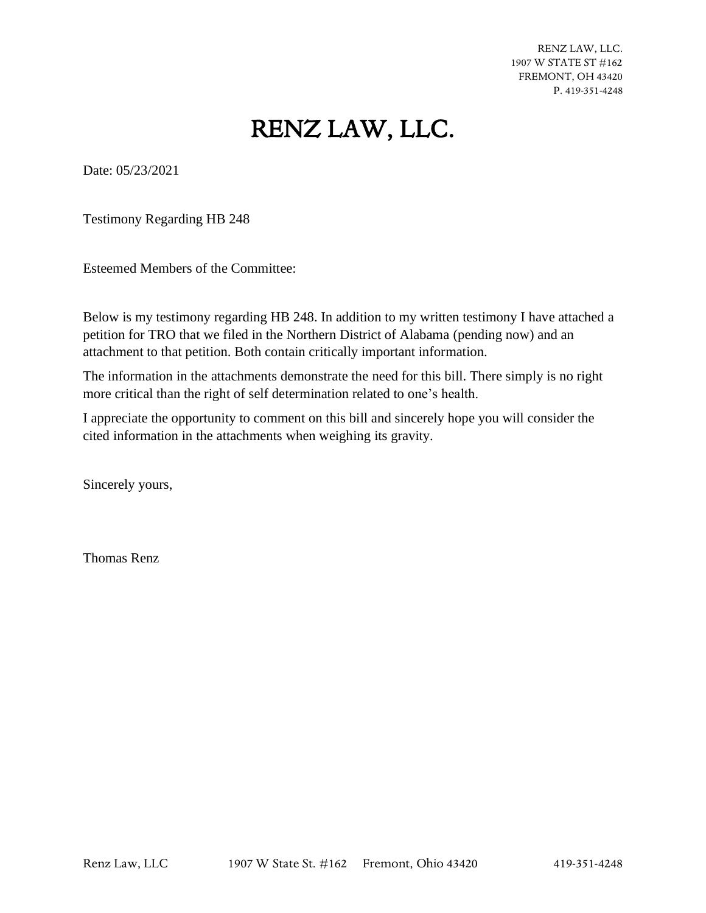RENZ LAW, LLC. 1907 W STATE ST #162 FREMONT, OH 43420 P. 419-351-4248

#### RENZ LAW, LLC.

Date: 05/23/2021

Testimony Regarding HB 248

Esteemed Members of the Committee:

Below is my testimony regarding HB 248. In addition to my written testimony I have attached a petition for TRO that we filed in the Northern District of Alabama (pending now) and an attachment to that petition. Both contain critically important information.

The information in the attachments demonstrate the need for this bill. There simply is no right more critical than the right of self determination related to one's health.

I appreciate the opportunity to comment on this bill and sincerely hope you will consider the cited information in the attachments when weighing its gravity.

Sincerely yours,

Thomas Renz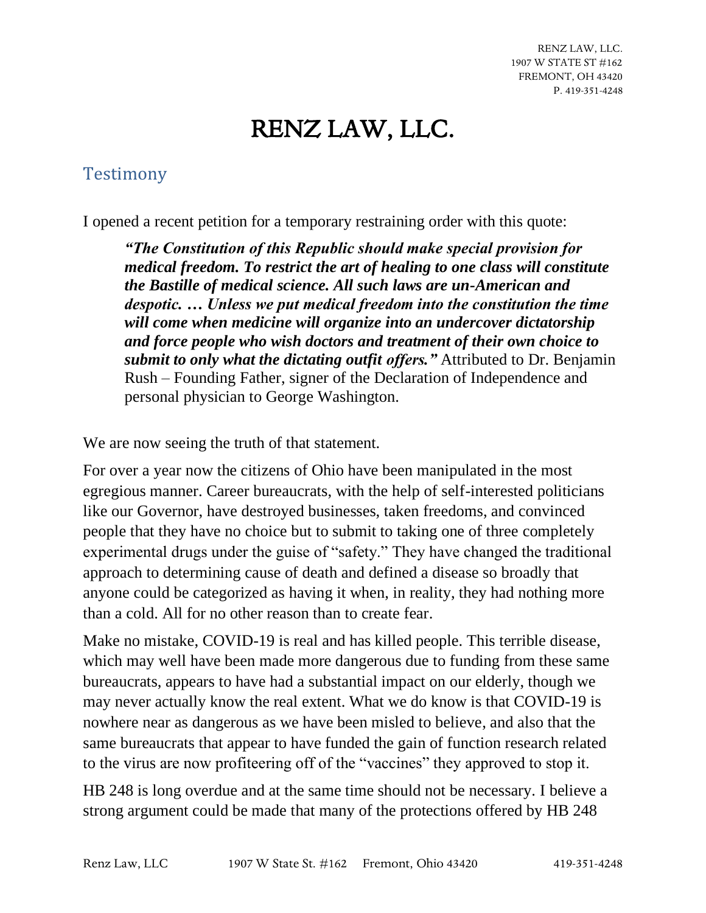RENZ LAW, LLC. 1907 W STATE ST #162 FREMONT, OH 43420 P. 419-351-4248

### RENZ LAW, LLC.

#### Testimony

I opened a recent petition for a temporary restraining order with this quote:

*"The Constitution of this Republic should make special provision for medical freedom. To restrict the art of healing to one class will constitute the Bastille of medical science. All such laws are un-American and despotic. … Unless we put medical freedom into the constitution the time will come when medicine will organize into an undercover dictatorship and force people who wish doctors and treatment of their own choice to submit to only what the dictating outfit offers."* Attributed to Dr. Benjamin Rush – Founding Father, signer of the Declaration of Independence and personal physician to George Washington.

We are now seeing the truth of that statement.

For over a year now the citizens of Ohio have been manipulated in the most egregious manner. Career bureaucrats, with the help of self-interested politicians like our Governor, have destroyed businesses, taken freedoms, and convinced people that they have no choice but to submit to taking one of three completely experimental drugs under the guise of "safety." They have changed the traditional approach to determining cause of death and defined a disease so broadly that anyone could be categorized as having it when, in reality, they had nothing more than a cold. All for no other reason than to create fear.

Make no mistake, COVID-19 is real and has killed people. This terrible disease, which may well have been made more dangerous due to funding from these same bureaucrats, appears to have had a substantial impact on our elderly, though we may never actually know the real extent. What we do know is that COVID-19 is nowhere near as dangerous as we have been misled to believe, and also that the same bureaucrats that appear to have funded the gain of function research related to the virus are now profiteering off of the "vaccines" they approved to stop it.

HB 248 is long overdue and at the same time should not be necessary. I believe a strong argument could be made that many of the protections offered by HB 248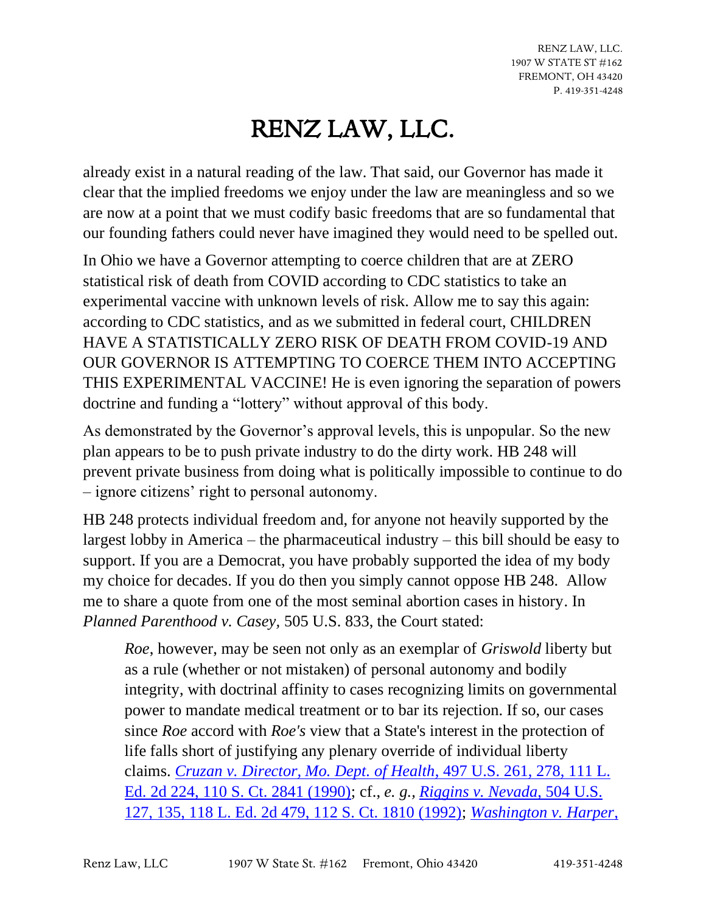## RENZ LAW, LLC.

already exist in a natural reading of the law. That said, our Governor has made it clear that the implied freedoms we enjoy under the law are meaningless and so we are now at a point that we must codify basic freedoms that are so fundamental that our founding fathers could never have imagined they would need to be spelled out.

In Ohio we have a Governor attempting to coerce children that are at ZERO statistical risk of death from COVID according to CDC statistics to take an experimental vaccine with unknown levels of risk. Allow me to say this again: according to CDC statistics, and as we submitted in federal court, CHILDREN HAVE A STATISTICALLY ZERO RISK OF DEATH FROM COVID-19 AND OUR GOVERNOR IS ATTEMPTING TO COERCE THEM INTO ACCEPTING THIS EXPERIMENTAL VACCINE! He is even ignoring the separation of powers doctrine and funding a "lottery" without approval of this body.

As demonstrated by the Governor's approval levels, this is unpopular. So the new plan appears to be to push private industry to do the dirty work. HB 248 will prevent private business from doing what is politically impossible to continue to do – ignore citizens' right to personal autonomy.

HB 248 protects individual freedom and, for anyone not heavily supported by the largest lobby in America – the pharmaceutical industry – this bill should be easy to support. If you are a Democrat, you have probably supported the idea of my body my choice for decades. If you do then you simply cannot oppose HB 248. Allow me to share a quote from one of the most seminal abortion cases in history. In *Planned Parenthood v. Casey,* 505 U.S. 833, the Court stated:

*Roe*, however, may be seen not only as an exemplar of *Griswold* liberty but as a rule (whether or not mistaken) of personal autonomy and bodily integrity, with doctrinal affinity to cases recognizing limits on governmental power to mandate medical treatment or to bar its rejection. If so, our cases since *Roe* accord with *Roe's* view that a State's interest in the protection of life falls short of justifying any plenary override of individual liberty claims. *[Cruzan v. Director, Mo. Dept. of Health](https://plus.lexis.com/document/?pdmfid=1530671&crid=624870e3-ee8d-4362-964b-d740c66871eb&pddocfullpath=%2Fshared%2Fdocument%2Fcases%2Furn%3AcontentItem%3A3S65-KDG0-003B-R206-00000-00&pdcontentcomponentid=6443&pdworkfolderlocatorid=NOT_SAVED_IN_WORKFOLDER&prid=46654f1a-9a31-46dd-a1de-0c00a1843684&ecomp=zt4k&earg=sr0)*, 497 U.S. 261, 278, 111 L. [Ed. 2d 224, 110 S. Ct. 2841 \(1990\);](https://plus.lexis.com/document/?pdmfid=1530671&crid=624870e3-ee8d-4362-964b-d740c66871eb&pddocfullpath=%2Fshared%2Fdocument%2Fcases%2Furn%3AcontentItem%3A3S65-KDG0-003B-R206-00000-00&pdcontentcomponentid=6443&pdworkfolderlocatorid=NOT_SAVED_IN_WORKFOLDER&prid=46654f1a-9a31-46dd-a1de-0c00a1843684&ecomp=zt4k&earg=sr0) cf., *e. g., [Riggins v. Nevada](https://plus.lexis.com/document/?pdmfid=1530671&crid=624870e3-ee8d-4362-964b-d740c66871eb&pddocfullpath=%2Fshared%2Fdocument%2Fcases%2Furn%3AcontentItem%3A3S65-KDG0-003B-R206-00000-00&pdcontentcomponentid=6443&pdworkfolderlocatorid=NOT_SAVED_IN_WORKFOLDER&prid=46654f1a-9a31-46dd-a1de-0c00a1843684&ecomp=zt4k&earg=sr0)*, 504 U.S. [127, 135, 118 L. Ed. 2d 479, 112 S. Ct. 1810 \(1992\);](https://plus.lexis.com/document/?pdmfid=1530671&crid=624870e3-ee8d-4362-964b-d740c66871eb&pddocfullpath=%2Fshared%2Fdocument%2Fcases%2Furn%3AcontentItem%3A3S65-KDG0-003B-R206-00000-00&pdcontentcomponentid=6443&pdworkfolderlocatorid=NOT_SAVED_IN_WORKFOLDER&prid=46654f1a-9a31-46dd-a1de-0c00a1843684&ecomp=zt4k&earg=sr0) *[Washington v. Harper](https://plus.lexis.com/document/?pdmfid=1530671&crid=624870e3-ee8d-4362-964b-d740c66871eb&pddocfullpath=%2Fshared%2Fdocument%2Fcases%2Furn%3AcontentItem%3A3S65-KDG0-003B-R206-00000-00&pdcontentcomponentid=6443&pdworkfolderlocatorid=NOT_SAVED_IN_WORKFOLDER&prid=46654f1a-9a31-46dd-a1de-0c00a1843684&ecomp=zt4k&earg=sr0)*,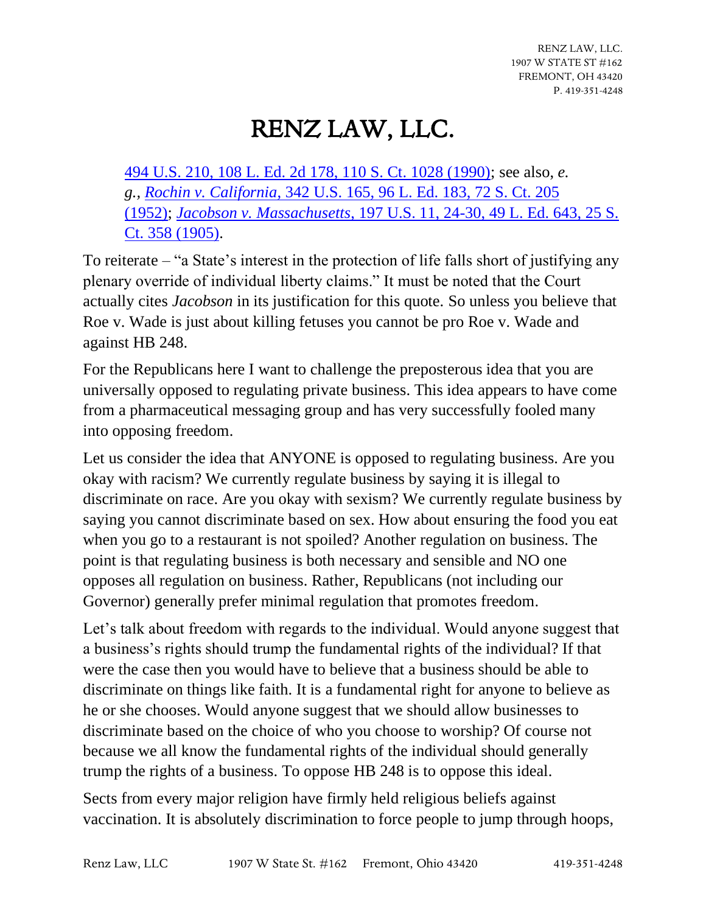# RENZ LAW, LLC.

[494 U.S. 210, 108 L. Ed. 2d 178, 110 S. Ct. 1028 \(1990\);](https://plus.lexis.com/document/?pdmfid=1530671&crid=624870e3-ee8d-4362-964b-d740c66871eb&pddocfullpath=%2Fshared%2Fdocument%2Fcases%2Furn%3AcontentItem%3A3S65-KDG0-003B-R206-00000-00&pdcontentcomponentid=6443&pdworkfolderlocatorid=NOT_SAVED_IN_WORKFOLDER&prid=46654f1a-9a31-46dd-a1de-0c00a1843684&ecomp=zt4k&earg=sr0) see also, *e. g., Rochin v. California*[, 342 U.S. 165, 96 L. Ed. 183, 72 S. Ct. 205](https://plus.lexis.com/document/?pdmfid=1530671&crid=624870e3-ee8d-4362-964b-d740c66871eb&pddocfullpath=%2Fshared%2Fdocument%2Fcases%2Furn%3AcontentItem%3A3S65-KDG0-003B-R206-00000-00&pdcontentcomponentid=6443&pdworkfolderlocatorid=NOT_SAVED_IN_WORKFOLDER&prid=46654f1a-9a31-46dd-a1de-0c00a1843684&ecomp=zt4k&earg=sr0)  [\(1952\);](https://plus.lexis.com/document/?pdmfid=1530671&crid=624870e3-ee8d-4362-964b-d740c66871eb&pddocfullpath=%2Fshared%2Fdocument%2Fcases%2Furn%3AcontentItem%3A3S65-KDG0-003B-R206-00000-00&pdcontentcomponentid=6443&pdworkfolderlocatorid=NOT_SAVED_IN_WORKFOLDER&prid=46654f1a-9a31-46dd-a1de-0c00a1843684&ecomp=zt4k&earg=sr0) *Jacobson v. Massachusetts*[, 197 U.S. 11, 24-30, 49 L. Ed. 643, 25 S.](https://plus.lexis.com/document/?pdmfid=1530671&crid=624870e3-ee8d-4362-964b-d740c66871eb&pddocfullpath=%2Fshared%2Fdocument%2Fcases%2Furn%3AcontentItem%3A3S65-KDG0-003B-R206-00000-00&pdcontentcomponentid=6443&pdworkfolderlocatorid=NOT_SAVED_IN_WORKFOLDER&prid=46654f1a-9a31-46dd-a1de-0c00a1843684&ecomp=zt4k&earg=sr0)  [Ct. 358 \(1905\).](https://plus.lexis.com/document/?pdmfid=1530671&crid=624870e3-ee8d-4362-964b-d740c66871eb&pddocfullpath=%2Fshared%2Fdocument%2Fcases%2Furn%3AcontentItem%3A3S65-KDG0-003B-R206-00000-00&pdcontentcomponentid=6443&pdworkfolderlocatorid=NOT_SAVED_IN_WORKFOLDER&prid=46654f1a-9a31-46dd-a1de-0c00a1843684&ecomp=zt4k&earg=sr0)

To reiterate – "a State's interest in the protection of life falls short of justifying any plenary override of individual liberty claims." It must be noted that the Court actually cites *Jacobson* in its justification for this quote. So unless you believe that Roe v. Wade is just about killing fetuses you cannot be pro Roe v. Wade and against HB 248.

For the Republicans here I want to challenge the preposterous idea that you are universally opposed to regulating private business. This idea appears to have come from a pharmaceutical messaging group and has very successfully fooled many into opposing freedom.

Let us consider the idea that ANYONE is opposed to regulating business. Are you okay with racism? We currently regulate business by saying it is illegal to discriminate on race. Are you okay with sexism? We currently regulate business by saying you cannot discriminate based on sex. How about ensuring the food you eat when you go to a restaurant is not spoiled? Another regulation on business. The point is that regulating business is both necessary and sensible and NO one opposes all regulation on business. Rather, Republicans (not including our Governor) generally prefer minimal regulation that promotes freedom.

Let's talk about freedom with regards to the individual. Would anyone suggest that a business's rights should trump the fundamental rights of the individual? If that were the case then you would have to believe that a business should be able to discriminate on things like faith. It is a fundamental right for anyone to believe as he or she chooses. Would anyone suggest that we should allow businesses to discriminate based on the choice of who you choose to worship? Of course not because we all know the fundamental rights of the individual should generally trump the rights of a business. To oppose HB 248 is to oppose this ideal.

Sects from every major religion have firmly held religious beliefs against vaccination. It is absolutely discrimination to force people to jump through hoops,